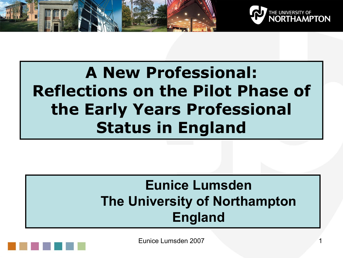



### **A New Professional: Reflections on the Pilot Phase of the Early Years Professional Status in England**

#### **Eunice Lumsden The University of Northampton England**

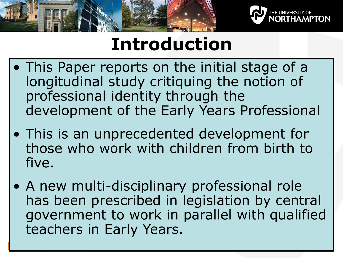



## **Introduction**

- This Paper reports on the initial stage of a longitudinal study critiquing the notion of professional identity through the development of the Early Years Professional
- This is an unprecedented development for those who work with children from birth to five.
- A new multi-disciplinary professional role has been prescribed in legislation by central government to work in parallel with qualified teachers in Early Years.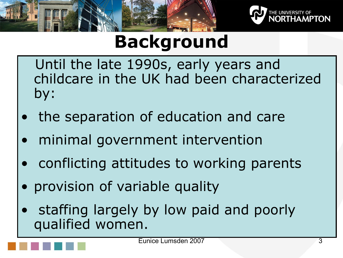



# **Background**

Until the late 1990s, early years and childcare in the UK had been characterized by:

- the separation of education and care
- minimal government intervention
- conflicting attitudes to working parents
- provision of variable quality
- staffing largely by low paid and poorly qualified women.

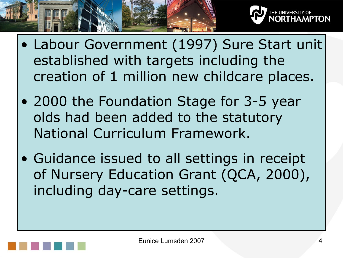

- Labour Government (1997) Sure Start unit established with targets including the creation of 1 million new childcare places.
- 2000 the Foundation Stage for 3-5 year olds had been added to the statutory National Curriculum Framework.
- Guidance issued to all settings in receipt of Nursery Education Grant (QCA, 2000), including day-care settings.

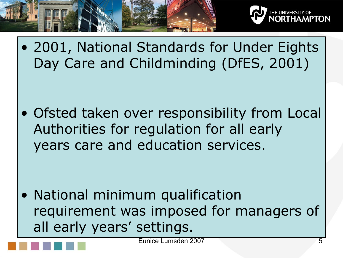



• 2001, National Standards for Under Eights Day Care and Childminding (DfES, 2001)

• Ofsted taken over responsibility from Local Authorities for regulation for all early years care and education services.

• National minimum qualification requirement was imposed for managers of all early years' settings.

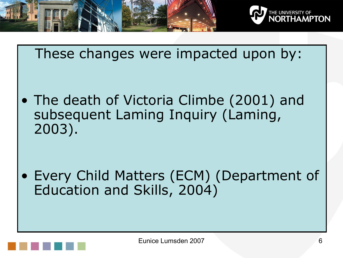

These changes were impacted upon by:

• The death of Victoria Climbe (2001) and subsequent Laming Inquiry (Laming, 2003).

• Every Child Matters (ECM) (Department of Education and Skills, 2004)

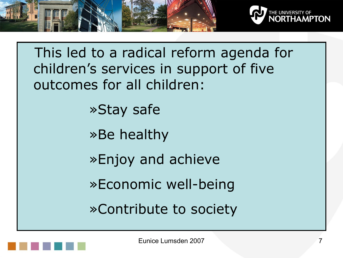

This led to a radical reform agenda for children's services in support of five outcomes for all children: »Stay safe »Be healthy »Enjoy and achieve »Economic well-being »Contribute to society

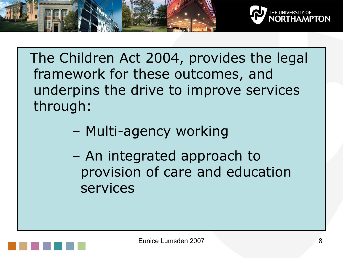

The Children Act 2004, provides the legal framework for these outcomes, and underpins the drive to improve services through:

- Multi-agency working
- An integrated approach to provision of care and education services

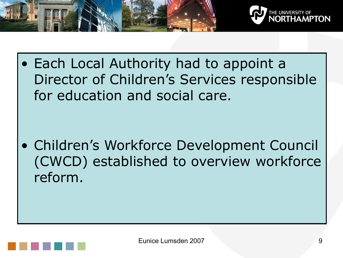

• Each Local Authority had to appoint a Director of Children's Services responsible for education and social care.

• Children's Workforce Development Council (CWCD) established to overview workforce reform.

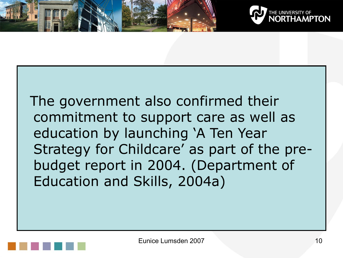



The government also confirmed their commitment to support care as well as education by launching 'A Ten Year Strategy for Childcare' as part of the prebudget report in 2004. (Department of Education and Skills, 2004a)

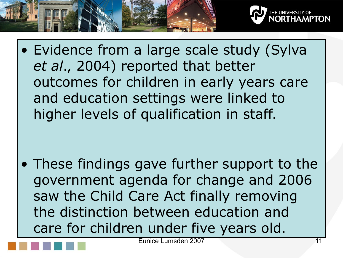

• Evidence from a large scale study (Sylva *et al*., 2004) reported that better outcomes for children in early years care and education settings were linked to higher levels of qualification in staff.

• These findings gave further support to the government agenda for change and 2006 saw the Child Care Act finally removing the distinction between education and care for children under five years old.

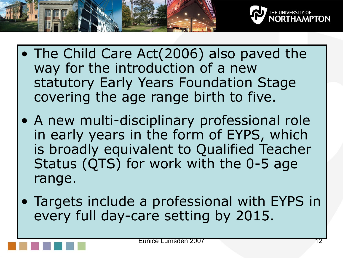

- The Child Care Act(2006) also paved the way for the introduction of a new statutory Early Years Foundation Stage covering the age range birth to five.
- A new multi-disciplinary professional role in early years in the form of EYPS, which is broadly equivalent to Qualified Teacher Status (QTS) for work with the 0-5 age range.
- Targets include a professional with EYPS in every full day-care setting by 2015.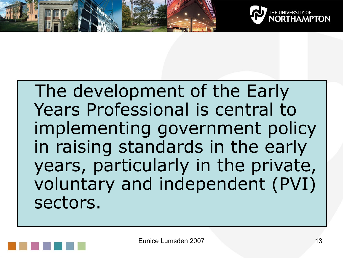



The development of the Early Years Professional is central to implementing government policy in raising standards in the early years, particularly in the private, voluntary and independent (PVI) sectors.

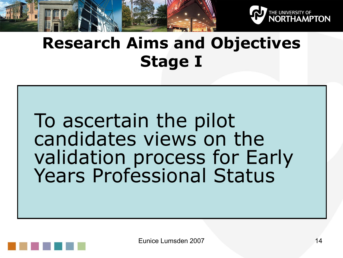

### **Research Aims and Objectives Stage I**

To ascertain the pilot candidates views on the validation process for Early Years Professional Status

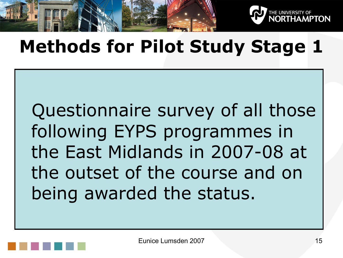

## **Methods for Pilot Study Stage 1**

Questionnaire survey of all those following EYPS programmes in the East Midlands in 2007-08 at the outset of the course and on being awarded the status.

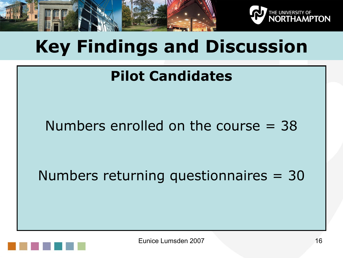

# **Key Findings and Discussion**

### **Pilot Candidates**

#### Numbers enrolled on the course  $=$  38

Numbers returning questionnaires = 30

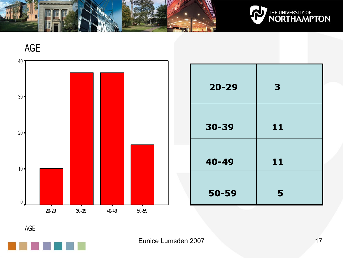







| $20 - 29$ | 3  |
|-----------|----|
| 30-39     | 11 |
| 40-49     | 11 |
| 50-59     | 5  |

AGE

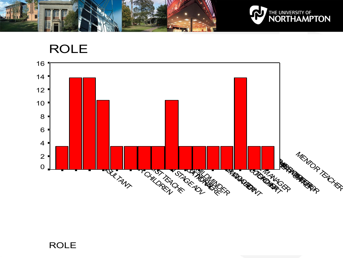

#### ROLE

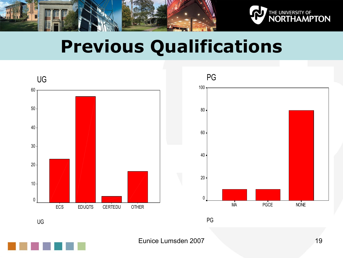

## **Previous Qualifications**



UG

Eunice Lumsden 2007 19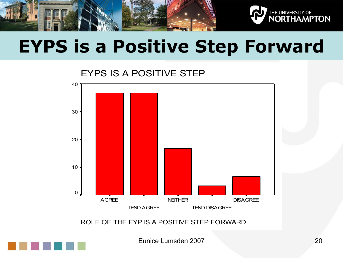



# **EYPS is a Positive Step Forward**

EYPS IS A POSITIVE STEP



ROLE OF THE EYP IS A POSITIVE STEP FORWARD

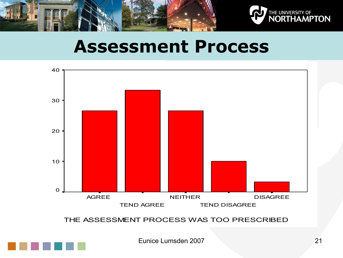



### **Assessment Process**



THE ASSESSMENT PROCESS WAS TOO PRESCRIBED

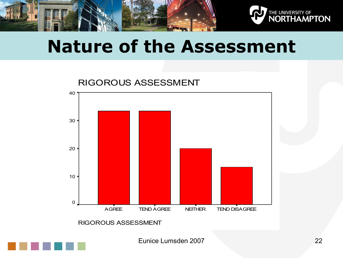



### **Nature of the Assessment**



RIGOROUS ASSESSMENT

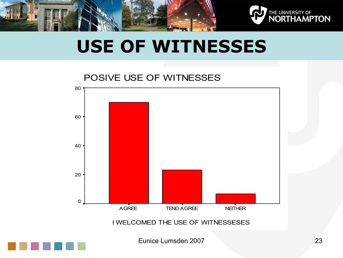



## **USE OF WITNESSES**

#### POSIVE USE OF WITNESSES



I WELCOMED THE USE OF WITNESSESES

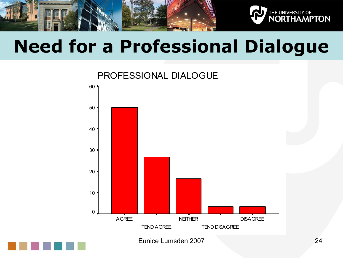

## **Need for a Professional Dialogue**

PROFESSIONAL DIALOGUE



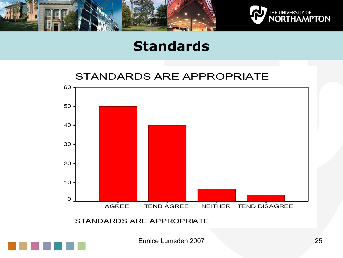



#### **Standards**

#### STANDARDS ARE APPROPRIATE



STANDARDS ARE APPROPRIATE

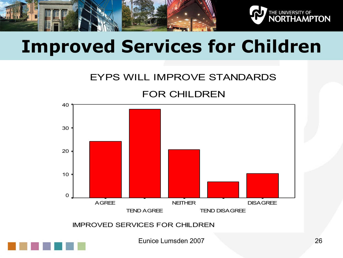



# **Improved Services for Children**

#### EYPS WILL IMPROVE STANDARDS

#### FOR CHILDREN



IMPROVED SERVICES FOR CHILDREN

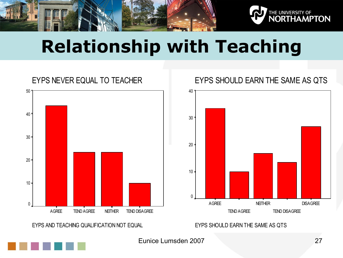



# **Relationship with Teaching**

#### EYPS NEVER EQUAL TO TEACHER AGREE TEND AGREE NEITHER TEND DISAGREE 50 40 30 20 10 0  $\overline{\phantom{a}}$

EYPS AND TEACHING QUALIFICATION NOT EQUAL

#### EYPS SHOULD EARN THE SAME AS QTS



#### EYPS SHOULD EARN THE SAME AS QTS

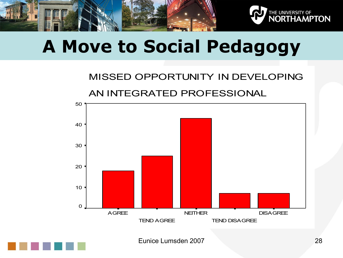



## **A Move to Social Pedagogy**

#### MISSED OPPORTUNITY IN DEVELOPING AN INTEGRATED PROFESSIONAL



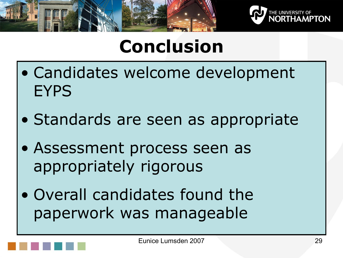



# **Conclusion**

- Candidates welcome development **EYPS**
- Standards are seen as appropriate
- Assessment process seen as appropriately rigorous
- Overall candidates found the paperwork was manageable

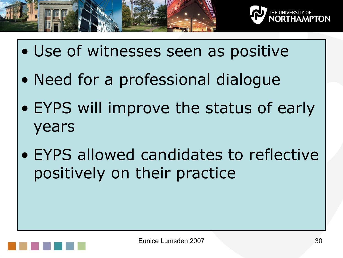



- Use of witnesses seen as positive
- Need for a professional dialogue
- EYPS will improve the status of early years
- EYPS allowed candidates to reflective positively on their practice

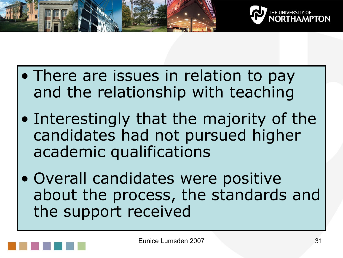



- There are issues in relation to pay and the relationship with teaching
- Interestingly that the majority of the candidates had not pursued higher academic qualifications
- Overall candidates were positive about the process, the standards and the support received